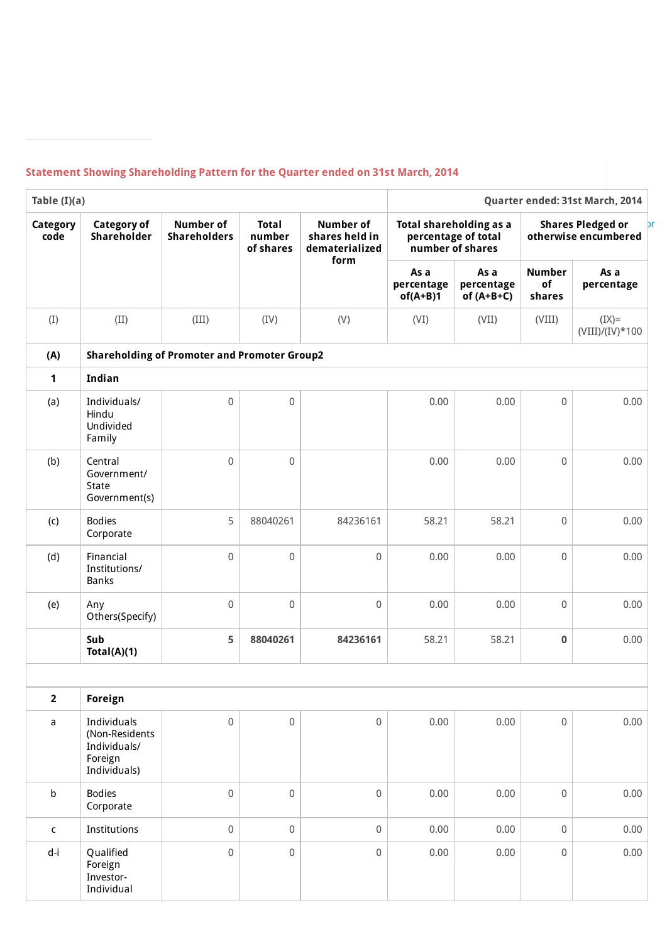## **Statement Showing Shareholding Pattern for the Quarter ended on 31st March, 2014**

| Table $(I)(a)$   |                                                                          |                                         |                                     |                                                              |                                                                    | Quarter ended: 31st March, 2014    |                                                  |                              |  |  |
|------------------|--------------------------------------------------------------------------|-----------------------------------------|-------------------------------------|--------------------------------------------------------------|--------------------------------------------------------------------|------------------------------------|--------------------------------------------------|------------------------------|--|--|
| Category<br>code | <b>Category of</b><br>Shareholder                                        | <b>Number of</b><br><b>Shareholders</b> | <b>Total</b><br>number<br>of shares | <b>Number of</b><br>shares held in<br>dematerialized<br>form | Total shareholding as a<br>percentage of total<br>number of shares |                                    | <b>Shares Pledged or</b><br>otherwise encumbered |                              |  |  |
|                  |                                                                          |                                         |                                     |                                                              | As a<br>percentage<br>$of(A+B)1$                                   | As a<br>percentage<br>of $(A+B+C)$ | <b>Number</b><br>of<br>shares                    | As a<br>percentage           |  |  |
| (I)              | (II)                                                                     | (III)                                   | (IV)                                | (V)                                                          | (VI)                                                               | (VII)                              | (VIII)                                           | $(IX)=$<br>$(VIII)/(IV)*100$ |  |  |
| (A)              | <b>Shareholding of Promoter and Promoter Group2</b>                      |                                         |                                     |                                                              |                                                                    |                                    |                                                  |                              |  |  |
| $\mathbf{1}$     | Indian                                                                   |                                         |                                     |                                                              |                                                                    |                                    |                                                  |                              |  |  |
| (a)              | Individuals/<br>Hindu<br>Undivided<br>Family                             | $\mathbf 0$                             | $\boldsymbol{0}$                    |                                                              | 0.00                                                               | 0.00                               | $\mathsf 0$                                      | 0.00                         |  |  |
| (b)              | Central<br>Government/<br><b>State</b><br>Government(s)                  | $\mathsf 0$                             | $\mathbf 0$                         |                                                              | 0.00                                                               | 0.00                               | 0                                                | 0.00                         |  |  |
| (c)              | <b>Bodies</b><br>Corporate                                               | 5                                       | 88040261                            | 84236161                                                     | 58.21                                                              | 58.21                              | 0                                                | 0.00                         |  |  |
| (d)              | Financial<br>Institutions/<br><b>Banks</b>                               | $\mathsf 0$                             | $\boldsymbol{0}$                    | $\mathsf 0$                                                  | 0.00                                                               | 0.00                               | $\Omega$                                         | 0.00                         |  |  |
| (e)              | Any<br>Others(Specify)                                                   | $\mathbf 0$                             | $\boldsymbol{0}$                    | $\mathsf 0$                                                  | 0.00                                                               | 0.00                               | $\mathsf 0$                                      | 0.00                         |  |  |
|                  | Sub<br>Total(A)(1)                                                       | 5                                       | 88040261                            | 84236161                                                     | 58.21                                                              | 58.21                              | $\bf{0}$                                         | 0.00                         |  |  |
|                  |                                                                          |                                         |                                     |                                                              |                                                                    |                                    |                                                  |                              |  |  |
| $\overline{2}$   | <b>Foreign</b>                                                           |                                         |                                     |                                                              |                                                                    |                                    |                                                  |                              |  |  |
| a                | Individuals<br>(Non-Residents<br>Individuals/<br>Foreign<br>Individuals) | $\mathbf 0$                             | $\mathbf 0$                         | $\mathbf 0$                                                  | 0.00                                                               | 0.00                               | $\mathbf 0$                                      | 0.00                         |  |  |
| b                | <b>Bodies</b><br>Corporate                                               | $\mathbf 0$                             | $\mathbf 0$                         | $\mathsf 0$                                                  | 0.00                                                               | 0.00                               | $\mathbf 0$                                      | 0.00                         |  |  |
| $\mathsf C$      | Institutions                                                             | $\mathbf 0$                             | $\mathbf 0$                         | $\mathbf 0$                                                  | 0.00                                                               | 0.00                               | $\mathbf 0$                                      | 0.00                         |  |  |
| d-i              | Qualified<br>Foreign<br>Investor-<br>Individual                          | $\mathsf{O}\xspace$                     | $\mathbf 0$                         | 0                                                            | 0.00                                                               | 0.00                               | $\mathsf{O}\xspace$                              | 0.00                         |  |  |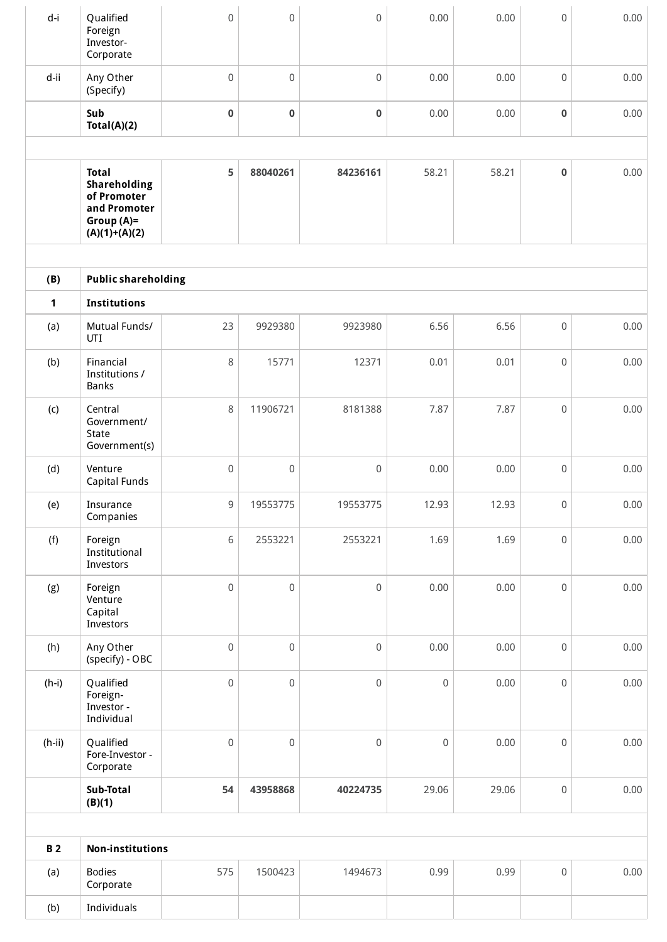| d-i                 | Qualified<br>Foreign<br>Investor-<br>Corporate                                                | $\mathsf 0$         | $\mathsf{O}\xspace$ | 0                   | 0.00        | 0.00  | $\mathsf 0$         | 0.00 |  |
|---------------------|-----------------------------------------------------------------------------------------------|---------------------|---------------------|---------------------|-------------|-------|---------------------|------|--|
| d-ii                | Any Other<br>(Specify)                                                                        | $\boldsymbol{0}$    | $\mathbf 0$         | 0                   | 0.00        | 0.00  | $\mathsf{O}\xspace$ | 0.00 |  |
|                     | Sub<br>Total(A)(2)                                                                            | $\pmb{0}$           | $\pmb{0}$           | 0                   | 0.00        | 0.00  | $\pmb{0}$           | 0.00 |  |
|                     | <b>Total</b><br>Shareholding<br>of Promoter<br>and Promoter<br>$Group(A)=$<br>$(A)(1)+(A)(2)$ | 5                   | 88040261            | 84236161            | 58.21       | 58.21 | $\pmb{0}$           | 0.00 |  |
|                     |                                                                                               |                     |                     |                     |             |       |                     |      |  |
| (B)                 | <b>Public shareholding</b>                                                                    |                     |                     |                     |             |       |                     |      |  |
| $\mathbf{1}$<br>(a) | <b>Institutions</b><br>Mutual Funds/                                                          | 23                  | 9929380             | 9923980             | 6.56        | 6.56  | $\mathsf 0$         | 0.00 |  |
| (b)                 | UTI<br>Financial<br>Institutions /<br><b>Banks</b>                                            | 8                   | 15771               | 12371               | 0.01        | 0.01  | $\mathsf 0$         | 0.00 |  |
| (c)                 | Central<br>Government/<br>State<br>Government(s)                                              | 8                   | 11906721            | 8181388             | 7.87        | 7.87  | $\mathsf 0$         | 0.00 |  |
| (d)                 | Venture<br>Capital Funds                                                                      | $\boldsymbol{0}$    | $\,0\,$             | 0                   | 0.00        | 0.00  | $\mathsf{O}\xspace$ | 0.00 |  |
| (e)                 | Insurance<br>Companies                                                                        | 9                   | 19553775            | 19553775            | 12.93       | 12.93 | $\mathsf{O}\xspace$ | 0.00 |  |
| (f)                 | Foreign<br>Institutional<br>Investors                                                         | 6                   | 2553221             | 2553221             | 1.69        | 1.69  | $\mathbf 0$         | 0.00 |  |
| (g)                 | Foreign<br>Venture<br>Capital<br>Investors                                                    | $\mathbf 0$         | $\mathsf{O}\xspace$ | 0                   | 0.00        | 0.00  | $\,0\,$             | 0.00 |  |
| (h)                 | Any Other<br>(specify) - OBC                                                                  | $\mathbf 0$         | $\mathbf 0$         | $\mathsf{O}\xspace$ | 0.00        | 0.00  | $\,0\,$             | 0.00 |  |
| $(h-i)$             | Qualified<br>Foreign-<br>Investor -<br>Individual                                             | $\mathsf{O}\xspace$ | $\mathbf 0$         | $\mathsf 0$         | $\mathbf 0$ | 0.00  | $\mathbf 0$         | 0.00 |  |
| $(h-ii)$            | Qualified<br>Fore-Investor -<br>Corporate                                                     | $\mathbf 0$         | $\mathsf{O}\xspace$ | $\mathsf{O}\xspace$ | $\mathbf 0$ | 0.00  | $\mathsf{O}\xspace$ | 0.00 |  |
|                     | Sub-Total<br>(B)(1)                                                                           | 54                  | 43958868            | 40224735            | 29.06       | 29.06 | $\mathsf{O}\xspace$ | 0.00 |  |
|                     |                                                                                               |                     |                     |                     |             |       |                     |      |  |
| <b>B2</b>           | <b>Non-institutions</b>                                                                       |                     |                     |                     |             |       |                     |      |  |
| (a)                 | <b>Bodies</b><br>Corporate                                                                    | 575                 | 1500423             | 1494673             | 0.99        | 0.99  | $\mathsf{O}\xspace$ | 0.00 |  |
| (b)                 | Individuals                                                                                   |                     |                     |                     |             |       |                     |      |  |